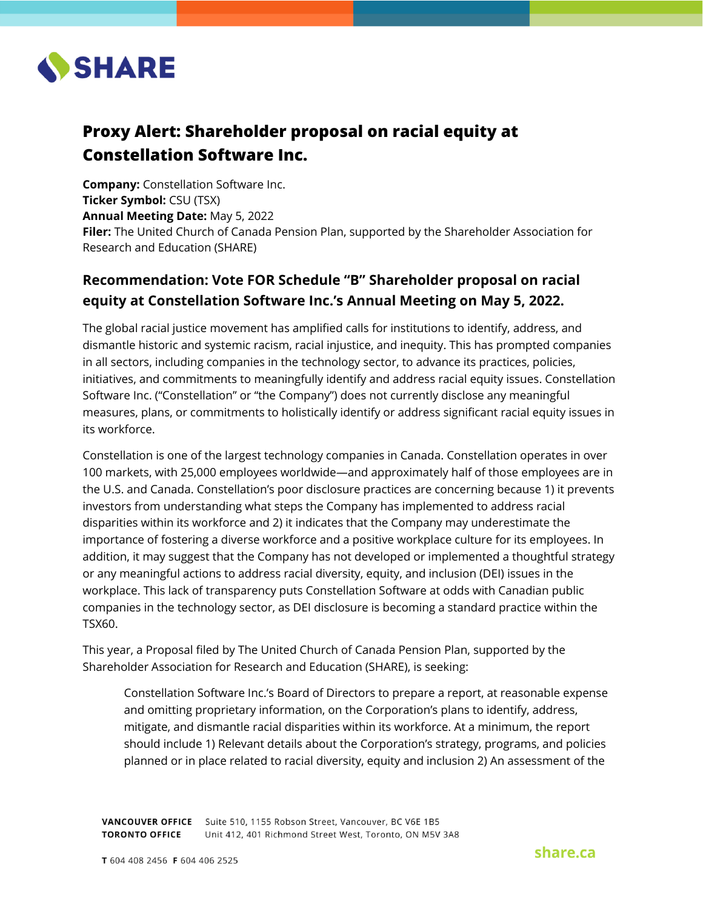

## **Proxy Alert: Shareholder proposal on racial equity at Constellation Software Inc.**

**Company:** Constellation Software Inc. **Ticker Symbol:** CSU (TSX) **Annual Meeting Date:** May 5, 2022 **Filer:** The United Church of Canada Pension Plan, supported by the Shareholder Association for Research and Education (SHARE)

## **Recommendation: Vote FOR Schedule "B" Shareholder proposal on racial equity at Constellation Software Inc.'s Annual Meeting on May 5, 2022.**

The global racial justice movement has amplified calls for institutions to identify, address, and dismantle historic and systemic racism, racial injustice, and inequity. This has prompted companies in all sectors, including companies in the technology sector, to advance its practices, policies, initiatives, and commitments to meaningfully identify and address racial equity issues. Constellation Software Inc. ("Constellation" or "the Company") does not currently disclose any meaningful measures, plans, or commitments to holistically identify or address significant racial equity issues in its workforce.

Constellation is one of the largest technology companies in Canada. Constellation operates in over 100 markets, with 25,000 employees worldwide—and approximately half of those employees are in the U.S. and Canada. Constellation's poor disclosure practices are concerning because 1) it prevents investors from understanding what steps the Company has implemented to address racial disparities within its workforce and 2) it indicates that the Company may underestimate the importance of fostering a diverse workforce and a positive workplace culture for its employees. In addition, it may suggest that the Company has not developed or implemented a thoughtful strategy or any meaningful actions to address racial diversity, equity, and inclusion (DEI) issues in the workplace. This lack of transparency puts Constellation Software at odds with Canadian public companies in the technology sector, as DEI disclosure is becoming a standard practice within the TSX60.

This year, a Proposal filed by The United Church of Canada Pension Plan, supported by the Shareholder Association for Research and Education (SHARE), is seeking:

Constellation Software Inc.'s Board of Directors to prepare a report, at reasonable expense and omitting proprietary information, on the Corporation's plans to identify, address, mitigate, and dismantle racial disparities within its workforce. At a minimum, the report should include 1) Relevant details about the Corporation's strategy, programs, and policies planned or in place related to racial diversity, equity and inclusion 2) An assessment of the

VANCOUVER OFFICE Suite 510, 1155 Robson Street, Vancouver, BC V6E 1B5 **TORONTO OFFICE** Unit 412, 401 Richmond Street West, Toronto, ON M5V 3A8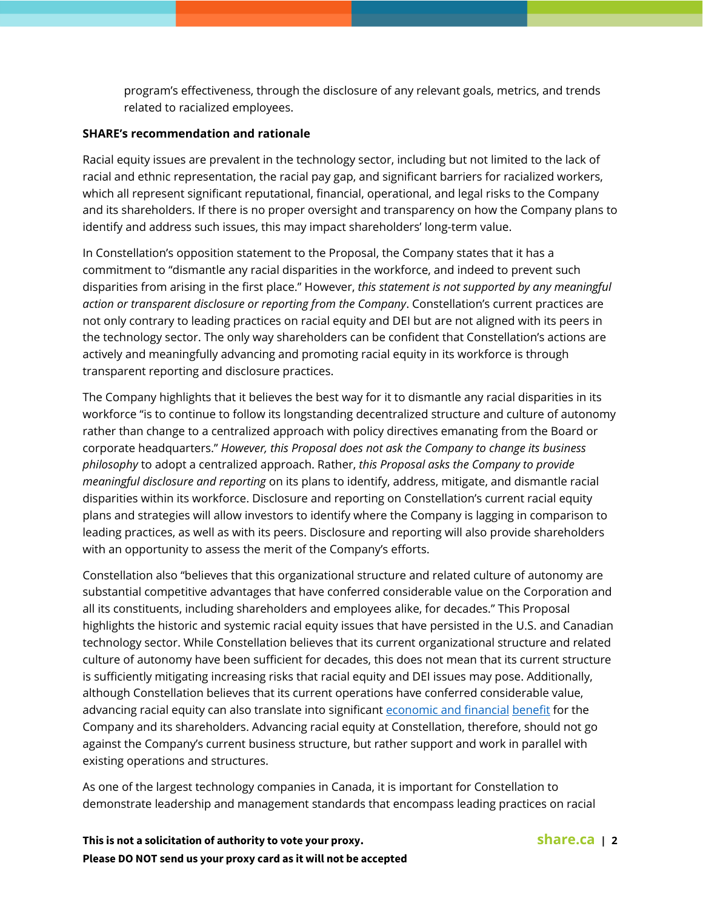program's effectiveness, through the disclosure of any relevant goals, metrics, and trends related to racialized employees.

## **SHARE's recommendation and rationale**

Racial equity issues are prevalent in the technology sector, including but not limited to the lack of racial and ethnic representation, the racial pay gap, and significant barriers for racialized workers, which all represent significant reputational, financial, operational, and legal risks to the Company and its shareholders. If there is no proper oversight and transparency on how the Company plans to identify and address such issues, this may impact shareholders' long-term value.

In Constellation's opposition statement to the Proposal, the Company states that it has a commitment to "dismantle any racial disparities in the workforce, and indeed to prevent such disparities from arising in the first place." However, *this statement is not supported by any meaningful action or transparent disclosure or reporting from the Company*. Constellation's current practices are not only contrary to leading practices on racial equity and DEI but are not aligned with its peers in the technology sector. The only way shareholders can be confident that Constellation's actions are actively and meaningfully advancing and promoting racial equity in its workforce is through transparent reporting and disclosure practices.

The Company highlights that it believes the best way for it to dismantle any racial disparities in its workforce "is to continue to follow its longstanding decentralized structure and culture of autonomy rather than change to a centralized approach with policy directives emanating from the Board or corporate headquarters." *However, this Proposal does not ask the Company to change its business philosophy* to adopt a centralized approach. Rather, *this Proposal asks the Company to provide meaningful disclosure and reporting* on its plans to identify, address, mitigate, and dismantle racial disparities within its workforce. Disclosure and reporting on Constellation's current racial equity plans and strategies will allow investors to identify where the Company is lagging in comparison to leading practices, as well as with its peers. Disclosure and reporting will also provide shareholders with an opportunity to assess the merit of the Company's efforts.

Constellation also "believes that this organizational structure and related culture of autonomy are substantial competitive advantages that have conferred considerable value on the Corporation and all its constituents, including shareholders and employees alike, for decades." This Proposal highlights the historic and systemic racial equity issues that have persisted in the U.S. and Canadian technology sector. While Constellation believes that its current organizational structure and related culture of autonomy have been sufficient for decades, this does not mean that its current structure is sufficiently mitigating increasing risks that racial equity and DEI issues may pose. Additionally, although Constellation believes that its current operations have conferred considerable value, advancing racial equity can also translate into significant [economic and financial](https://www.wsj.com/articles/the-business-case-for-more-diversity-11572091200) [benefit](https://missioninvestors.org/sites/default/files/resources/Business%20Case%20for%20Racial%20Equity%202018.pdf) for the Company and its shareholders. Advancing racial equity at Constellation, therefore, should not go against the Company's current business structure, but rather support and work in parallel with existing operations and structures.

As one of the largest technology companies in Canada, it is important for Constellation to demonstrate leadership and management standards that encompass leading practices on racial